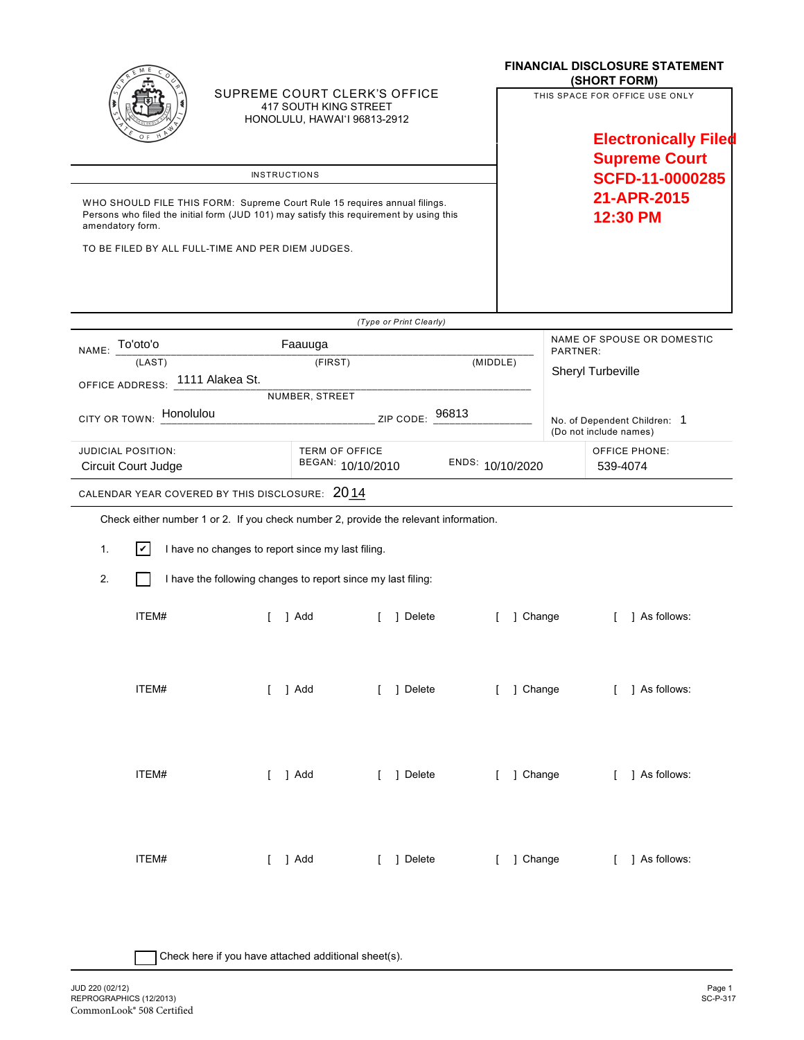|                                                                                                                                                                                          | SUPREME COURT CLERK'S OFFICE<br>417 SOUTH KING STREET<br>HONOLULU, HAWAI'I 96813-2912 |                                                              |                                                                |  |                         |  | <b>FINANCIAL DISCLOSURE STATEMENT</b><br>(SHORT FORM)<br>THIS SPACE FOR OFFICE USE ONLY<br><b>Electronically Filed</b><br><b>Supreme Court</b> |                                  |                                                        |  |
|------------------------------------------------------------------------------------------------------------------------------------------------------------------------------------------|---------------------------------------------------------------------------------------|--------------------------------------------------------------|----------------------------------------------------------------|--|-------------------------|--|------------------------------------------------------------------------------------------------------------------------------------------------|----------------------------------|--------------------------------------------------------|--|
|                                                                                                                                                                                          |                                                                                       |                                                              |                                                                |  |                         |  |                                                                                                                                                |                                  |                                                        |  |
| <b>INSTRUCTIONS</b>                                                                                                                                                                      |                                                                                       |                                                              |                                                                |  |                         |  | SCFD-11-0000285                                                                                                                                |                                  |                                                        |  |
| WHO SHOULD FILE THIS FORM: Supreme Court Rule 15 requires annual filings.<br>Persons who filed the initial form (JUD 101) may satisfy this requirement by using this<br>amendatory form. |                                                                                       |                                                              |                                                                |  |                         |  |                                                                                                                                                | 21-APR-2015<br>12:30 PM          |                                                        |  |
|                                                                                                                                                                                          |                                                                                       | TO BE FILED BY ALL FULL-TIME AND PER DIEM JUDGES.            |                                                                |  |                         |  |                                                                                                                                                |                                  |                                                        |  |
|                                                                                                                                                                                          |                                                                                       |                                                              |                                                                |  | (Type or Print Clearly) |  |                                                                                                                                                |                                  |                                                        |  |
|                                                                                                                                                                                          | NAME: To'oto'o<br>Faauuga                                                             |                                                              |                                                                |  |                         |  |                                                                                                                                                | NAME OF SPOUSE OR DOMESTIC       |                                                        |  |
| (FIRST)<br>(LAST)                                                                                                                                                                        |                                                                                       |                                                              |                                                                |  | (MIDDLE)                |  |                                                                                                                                                |                                  | PARTNER:<br>Sheryl Turbeville                          |  |
| OFFICE ADDRESS: 1111 Alakea St.                                                                                                                                                          |                                                                                       |                                                              |                                                                |  |                         |  |                                                                                                                                                |                                  |                                                        |  |
| NUMBER, STREET<br>Honolulou<br>ZIP CODE: 96813<br>CITY OR TOWN:                                                                                                                          |                                                                                       |                                                              |                                                                |  |                         |  |                                                                                                                                                |                                  | No. of Dependent Children: 1<br>(Do not include names) |  |
| <b>JUDICIAL POSITION:</b><br>Circuit Court Judge                                                                                                                                         |                                                                                       |                                                              | <b>TERM OF OFFICE</b><br>ENDS: 10/10/2020<br>BEGAN: 10/10/2010 |  |                         |  |                                                                                                                                                | <b>OFFICE PHONE:</b><br>539-4074 |                                                        |  |
|                                                                                                                                                                                          |                                                                                       | CALENDAR YEAR COVERED BY THIS DISCLOSURE: 2014               |                                                                |  |                         |  |                                                                                                                                                |                                  |                                                        |  |
| Check either number 1 or 2. If you check number 2, provide the relevant information.                                                                                                     |                                                                                       |                                                              |                                                                |  |                         |  |                                                                                                                                                |                                  |                                                        |  |
| 1.                                                                                                                                                                                       | l۳l                                                                                   | I have no changes to report since my last filing.            |                                                                |  |                         |  |                                                                                                                                                |                                  |                                                        |  |
| 2.                                                                                                                                                                                       |                                                                                       | I have the following changes to report since my last filing: |                                                                |  |                         |  |                                                                                                                                                |                                  |                                                        |  |
|                                                                                                                                                                                          | ITEM#                                                                                 |                                                              | 1 Add                                                          |  | 1 Delete                |  |                                                                                                                                                | 1 Change                         | 1 As follows:                                          |  |
|                                                                                                                                                                                          | ITEM#                                                                                 | $[$ ] $Add$                                                  |                                                                |  | [ ] Delete              |  |                                                                                                                                                |                                  | [ ] Change [ ] As follows:                             |  |
|                                                                                                                                                                                          | ITEM#                                                                                 | $[$ ] Add                                                    |                                                                |  | [ ] Delete              |  | [ ] Change                                                                                                                                     |                                  | [ ] As follows:                                        |  |
|                                                                                                                                                                                          | ITEM#                                                                                 | $[$ ] Add                                                    |                                                                |  | [ ] Delete              |  | [ ] Change                                                                                                                                     |                                  | [ ] As follows:                                        |  |

| Check here if you have attached additional sheet(s).